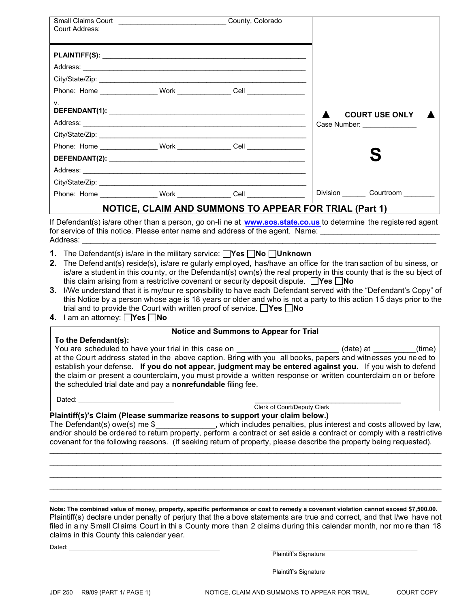| Court Address:                                                                                                 |                                                                                                                                                                                                                                                                                                                                                                                                                                               |                              |  |
|----------------------------------------------------------------------------------------------------------------|-----------------------------------------------------------------------------------------------------------------------------------------------------------------------------------------------------------------------------------------------------------------------------------------------------------------------------------------------------------------------------------------------------------------------------------------------|------------------------------|--|
|                                                                                                                |                                                                                                                                                                                                                                                                                                                                                                                                                                               |                              |  |
|                                                                                                                |                                                                                                                                                                                                                                                                                                                                                                                                                                               |                              |  |
|                                                                                                                |                                                                                                                                                                                                                                                                                                                                                                                                                                               |                              |  |
|                                                                                                                |                                                                                                                                                                                                                                                                                                                                                                                                                                               |                              |  |
| V.                                                                                                             |                                                                                                                                                                                                                                                                                                                                                                                                                                               | <b>COURT USE ONLY</b>        |  |
|                                                                                                                |                                                                                                                                                                                                                                                                                                                                                                                                                                               | Case Number: _______________ |  |
|                                                                                                                |                                                                                                                                                                                                                                                                                                                                                                                                                                               |                              |  |
|                                                                                                                |                                                                                                                                                                                                                                                                                                                                                                                                                                               |                              |  |
|                                                                                                                |                                                                                                                                                                                                                                                                                                                                                                                                                                               |                              |  |
|                                                                                                                | Address: <u>www.community.community.community.com</u>                                                                                                                                                                                                                                                                                                                                                                                         |                              |  |
|                                                                                                                |                                                                                                                                                                                                                                                                                                                                                                                                                                               |                              |  |
|                                                                                                                |                                                                                                                                                                                                                                                                                                                                                                                                                                               |                              |  |
|                                                                                                                | NOTICE, CLAIM AND SUMMONS TO APPEAR FOR TRIAL (Part 1)                                                                                                                                                                                                                                                                                                                                                                                        |                              |  |
| Address: Andreas Address and Address and Address and Address and Address and Address and Address and Address a | If Defendant(s) is/are other than a person, go on-li ne at <b>www.sos.state.co.us</b> to determine the registe red agent<br>for service of this notice. Please enter name and address of the agent. Name: ________________________________                                                                                                                                                                                                    |                              |  |
| 2.                                                                                                             | <b>1.</b> The Defendant(s) is/are in the military service: $\Box$ Yes $\Box$ No $\Box$ Unknown<br>The Defend ant(s) reside(s), is/are regularly employed, has/have an office for the transaction of bu siness, or<br>is/are a student in this county, or the Defendant(s) own(s) the real property in this county that is the su bject of<br>this claim arising from a restrictive covenant or security deposit dispute. $\Box$ Yes $\Box$ No |                              |  |

- **3.** I/We understand that it is my/our re sponsibility to have each Defendant served with the "Def endant's Copy" of this Notice by a person whose age is 18 years or older and who is not a party to this action 15 days prior to the trial and to provide the Court with written proof of service. **Yes No**
- **4.** I am an attorney: **Yes No**

## **Notice and Summons to Appear for Trial**

| To the Defendant(s):                                                                                          |           |        |
|---------------------------------------------------------------------------------------------------------------|-----------|--------|
| You are scheduled to have your trial in this case on                                                          | (date) at | (time) |
| at the Court address stated in the above caption. Bring with you all books, papers and witnesses you need to  |           |        |
| establish your defense. If you do not appear, judgment may be entered against you. If you wish to defend      |           |        |
| the claim or present a counterclaim, you must provide a written response or written counterclaim on or before |           |        |
| the scheduled trial date and pay a nonrefundable filing fee.                                                  |           |        |

Dated: \_\_\_\_\_\_\_\_\_\_\_\_\_\_\_\_\_\_\_\_\_\_\_\_\_\_\_\_ \_\_\_\_\_\_\_\_\_\_\_\_\_\_\_\_\_\_\_\_\_\_\_\_\_\_\_\_\_\_\_\_\_\_\_\_\_\_

Clerk of Court/Deputy Clerk

## **Plaintiff(s)'s Claim (Please summarize reasons to support your claim below.)**

The Defendant(s) owe(s) me \$\_\_\_\_\_\_\_\_\_\_\_\_\_\_, which includes penalties, plus interest and costs allowed by law, and/or should be ordered to return property, perform a contract or set aside a contract or comply with a restri ctive covenant for the following reasons. (If seeking return of property, please describe the property being requested).

 $\_$  , and the set of the set of the set of the set of the set of the set of the set of the set of the set of the set of the set of the set of the set of the set of the set of the set of the set of the set of the set of th \_\_\_\_\_\_\_\_\_\_\_\_\_\_\_\_\_\_\_\_\_\_\_\_\_\_\_\_\_\_\_\_\_\_\_\_\_\_\_\_\_\_\_\_\_\_\_\_\_\_\_\_\_\_\_\_\_\_\_\_\_\_\_\_\_\_\_\_\_\_\_\_\_\_\_\_\_\_\_\_\_\_\_\_\_\_\_\_\_\_\_\_\_\_\_\_\_\_\_\_\_\_  $\_$  , and the set of the set of the set of the set of the set of the set of the set of the set of the set of the set of the set of the set of the set of the set of the set of the set of the set of the set of the set of th  $\_$  , and the set of the set of the set of the set of the set of the set of the set of the set of the set of the set of the set of the set of the set of the set of the set of the set of the set of the set of the set of th \_\_\_\_\_\_\_\_\_\_\_\_\_\_\_\_\_\_\_\_\_\_\_\_\_\_\_\_\_\_\_\_\_\_\_\_\_\_\_\_\_\_\_\_\_\_\_\_\_\_\_\_\_\_\_\_\_\_\_\_\_\_\_\_\_\_\_\_\_\_\_\_\_\_\_\_\_\_\_\_\_\_\_\_\_\_\_\_\_\_\_\_\_\_\_\_\_\_\_\_\_\_

**Note: The combined value of money, property, specific performance or cost to remedy a covenant violation cannot exceed \$7,500.00.**  Plaintiff(s) declare under penalty of perjury that the a bove statements are true and correct, and that I/we have not filed in a ny Small Claims Court in thi s County more than 2 claims during this calendar month, nor mo re than 18 claims in this County this calendar year.

Dated: \_\_\_\_\_\_\_\_\_\_\_\_\_\_\_\_\_\_\_\_\_\_\_\_\_\_\_\_\_\_\_\_\_\_\_\_\_\_\_\_\_\_\_\_ \_\_\_\_\_\_\_\_\_\_\_\_\_\_\_\_\_\_\_\_\_\_\_\_\_\_\_\_\_\_\_\_\_\_\_\_\_\_\_\_\_\_\_

Plaintiff's Signature

\_\_\_\_\_\_\_\_\_\_\_\_\_\_\_\_\_\_\_\_\_\_\_\_\_\_\_\_\_\_\_\_\_\_\_\_\_\_\_\_\_\_\_ Plaintiff's Signature